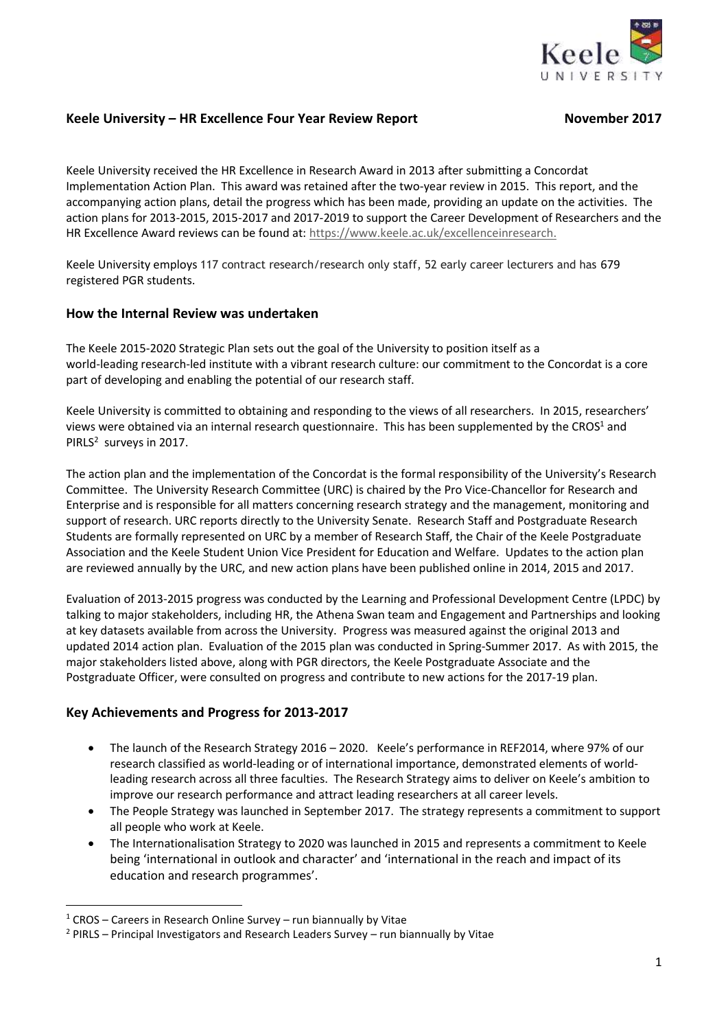

# **Keele University – HR Excellence Four Year Review Report November 2017**

Keele University received the HR Excellence in Research Award in 2013 after submitting a Concordat Implementation Action Plan. This award was retained after the two-year review in 2015. This report, and the accompanying action plans, detail the progress which has been made, providing an update on the activities. The action plans for 2013-2015, 2015-2017 and 2017-2019 to support the Career Development of Researchers and the HR Excellence Award reviews can be found at: <https://www.keele.ac.uk/excellenceinresearch.>

Keele University employs 117 contract research/research only staff, 52 early career lecturers and has 679 registered PGR students.

# **How the Internal Review was undertaken**

The Keele 2015-2020 Strategic Plan sets out the goal of the University to position itself as a world-leading research-led institute with a vibrant research culture: our commitment to the Concordat is a core part of developing and enabling the potential of our research staff.

Keele University is committed to obtaining and responding to the views of all researchers. In 2015, researchers' views were obtained via an internal research questionnaire. This has been supplemented by the CROS<sup>1</sup> and PIRLS<sup>2</sup> surveys in 2017.

The action plan and the implementation of the Concordat is the formal responsibility of the University's Research Committee. The University Research Committee (URC) is chaired by the Pro Vice-Chancellor for Research and Enterprise and is responsible for all matters concerning research strategy and the management, monitoring and support of research. URC reports directly to the University Senate. Research Staff and Postgraduate Research Students are formally represented on URC by a member of Research Staff, the Chair of the Keele Postgraduate Association and the Keele Student Union Vice President for Education and Welfare. Updates to the action plan are reviewed annually by the URC, and new action plans have been published online in 2014, 2015 and 2017.

Evaluation of 2013-2015 progress was conducted by the Learning and Professional Development Centre (LPDC) by talking to major stakeholders, including HR, the Athena Swan team and Engagement and Partnerships and looking at key datasets available from across the University. Progress was measured against the original 2013 and updated 2014 action plan. Evaluation of the 2015 plan was conducted in Spring-Summer 2017. As with 2015, the major stakeholders listed above, along with PGR directors, the Keele Postgraduate Associate and the Postgraduate Officer, were consulted on progress and contribute to new actions for the 2017-19 plan.

# **Key Achievements and Progress for 2013-2017**

- The launch of the Research Strategy 2016 2020. Keele's performance in REF2014, where 97% of our research classified as world-leading or of international importance, demonstrated elements of worldleading research across all three faculties. The Research Strategy aims to deliver on Keele's ambition to improve our research performance and attract leading researchers at all career levels.
- The People Strategy was launched in September 2017. The strategy represents a commitment to support all people who work at Keele.
- The Internationalisation Strategy to 2020 was launched in 2015 and represents a commitment to Keele being 'international in outlook and character' and 'international in the reach and impact of its education and research programmes'.

**.** 

 $1$  CROS – Careers in Research Online Survey – run biannually by Vitae

 $2$  PIRLS – Principal Investigators and Research Leaders Survey – run biannually by Vitae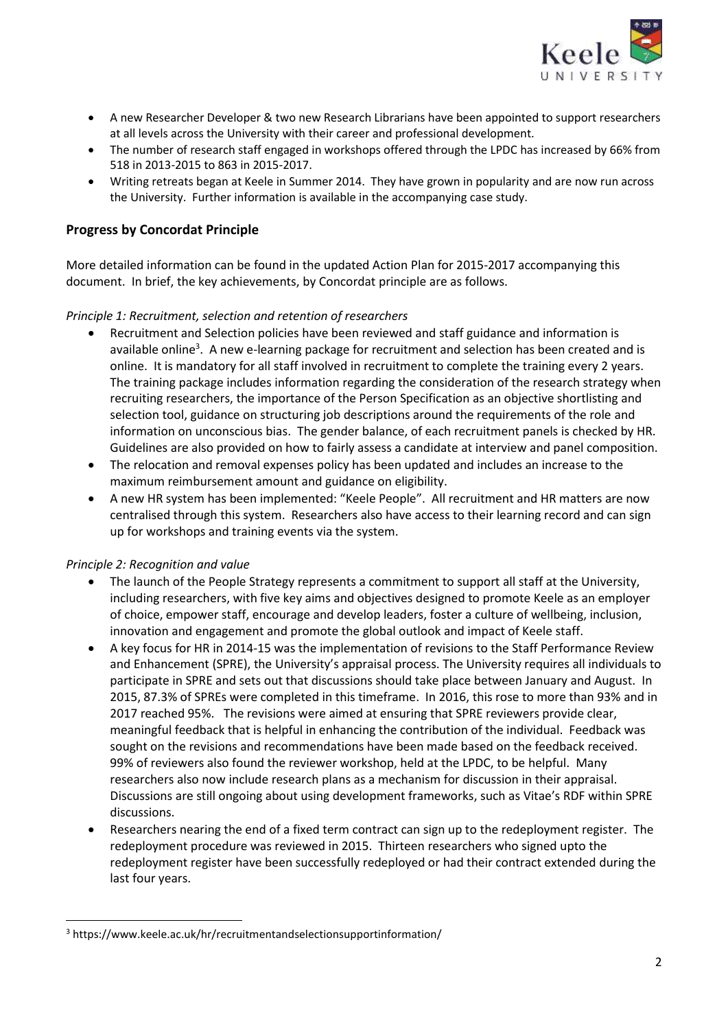

- A new Researcher Developer & two new Research Librarians have been appointed to support researchers at all levels across the University with their career and professional development.
- The number of research staff engaged in workshops offered through the LPDC has increased by 66% from 518 in 2013-2015 to 863 in 2015-2017.
- Writing retreats began at Keele in Summer 2014. They have grown in popularity and are now run across the University. Further information is available in the accompanying case study.

# **Progress by Concordat Principle**

More detailed information can be found in the updated Action Plan for 2015-2017 accompanying this document. In brief, the key achievements, by Concordat principle are as follows.

# *Principle 1: Recruitment, selection and retention of researchers*

- Recruitment and Selection policies have been reviewed and staff guidance and information is available online<sup>3</sup>. A new e-learning package for recruitment and selection has been created and is online. It is mandatory for all staff involved in recruitment to complete the training every 2 years. The training package includes information regarding the consideration of the research strategy when recruiting researchers, the importance of the Person Specification as an objective shortlisting and selection tool, guidance on structuring job descriptions around the requirements of the role and information on unconscious bias. The gender balance, of each recruitment panels is checked by HR. Guidelines are also provided on how to fairly assess a candidate at interview and panel composition.
- The relocation and removal expenses policy has been updated and includes an increase to the maximum reimbursement amount and guidance on eligibility.
- A new HR system has been implemented: "Keele People". All recruitment and HR matters are now centralised through this system. Researchers also have access to their learning record and can sign up for workshops and training events via the system.

### *Principle 2: Recognition and value*

**.** 

- The launch of the People Strategy represents a commitment to support all staff at the University, including researchers, with five key aims and objectives designed to promote Keele as an employer of choice, empower staff, encourage and develop leaders, foster a culture of wellbeing, inclusion, innovation and engagement and promote the global outlook and impact of Keele staff.
- A key focus for HR in 2014-15 was the implementation of revisions to the Staff Performance Review and Enhancement (SPRE), the University's appraisal process. The University requires all individuals to participate in SPRE and sets out that discussions should take place between January and August. In 2015, 87.3% of SPREs were completed in this timeframe. In 2016, this rose to more than 93% and in 2017 reached 95%. The revisions were aimed at ensuring that SPRE reviewers provide clear, meaningful feedback that is helpful in enhancing the contribution of the individual. Feedback was sought on the revisions and recommendations have been made based on the feedback received. 99% of reviewers also found the reviewer workshop, held at the LPDC, to be helpful. Many researchers also now include research plans as a mechanism for discussion in their appraisal. Discussions are still ongoing about using development frameworks, such as Vitae's RDF within SPRE discussions.
- Researchers nearing the end of a fixed term contract can sign up to the redeployment register. The redeployment procedure was reviewed in 2015. Thirteen researchers who signed upto the redeployment register have been successfully redeployed or had their contract extended during the last four years.

<sup>3</sup> https://www.keele.ac.uk/hr/recruitmentandselectionsupportinformation/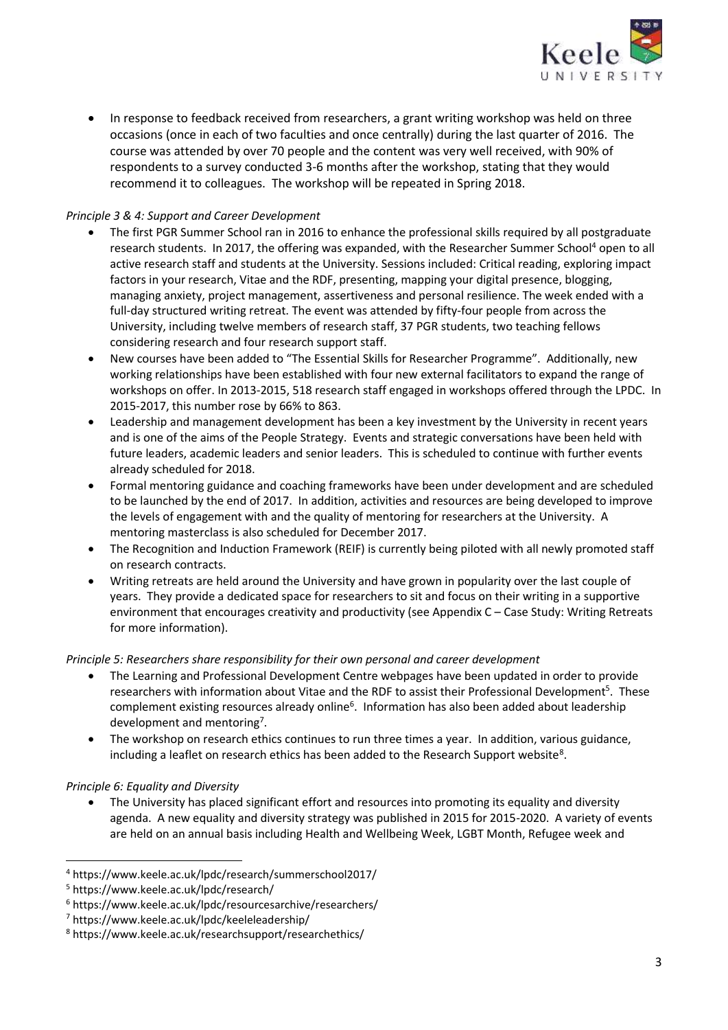

 In response to feedback received from researchers, a grant writing workshop was held on three occasions (once in each of two faculties and once centrally) during the last quarter of 2016. The course was attended by over 70 people and the content was very well received, with 90% of respondents to a survey conducted 3-6 months after the workshop, stating that they would recommend it to colleagues. The workshop will be repeated in Spring 2018.

## *Principle 3 & 4: Support and Career Development*

- The first PGR Summer School ran in 2016 to enhance the professional skills required by all postgraduate research students. In 2017, the offering was expanded, with the Researcher Summer School<sup>4</sup> open to all active research staff and students at the University. Sessions included: Critical reading, exploring impact factors in your research, Vitae and the RDF, presenting, mapping your digital presence, blogging, managing anxiety, project management, assertiveness and personal resilience. The week ended with a full-day structured writing retreat. The event was attended by fifty-four people from across the University, including twelve members of research staff, 37 PGR students, two teaching fellows considering research and four research support staff.
- New courses have been added to "The Essential Skills for Researcher Programme". Additionally, new working relationships have been established with four new external facilitators to expand the range of workshops on offer. In 2013-2015, 518 research staff engaged in workshops offered through the LPDC. In 2015-2017, this number rose by 66% to 863.
- Leadership and management development has been a key investment by the University in recent years and is one of the aims of the People Strategy. Events and strategic conversations have been held with future leaders, academic leaders and senior leaders. This is scheduled to continue with further events already scheduled for 2018.
- Formal mentoring guidance and coaching frameworks have been under development and are scheduled to be launched by the end of 2017. In addition, activities and resources are being developed to improve the levels of engagement with and the quality of mentoring for researchers at the University. A mentoring masterclass is also scheduled for December 2017.
- The Recognition and Induction Framework (REIF) is currently being piloted with all newly promoted staff on research contracts.
- Writing retreats are held around the University and have grown in popularity over the last couple of years. They provide a dedicated space for researchers to sit and focus on their writing in a supportive environment that encourages creativity and productivity (see Appendix C – Case Study: Writing Retreats for more information).

### *Principle 5: Researchers share responsibility for their own personal and career development*

- The Learning and Professional Development Centre webpages have been updated in order to provide researchers with information about Vitae and the RDF to assist their Professional Development<sup>5</sup>. These complement existing resources already online<sup>6</sup>. Information has also been added about leadership development and mentoring<sup>7</sup>.
- The workshop on research ethics continues to run three times a year. In addition, various guidance, including a leaflet on research ethics has been added to the Research Support website<sup>8</sup>.

### *Principle 6: Equality and Diversity*

 $\overline{a}$ 

 The University has placed significant effort and resources into promoting its equality and diversity agenda. A new equality and diversity strategy was published in 2015 for 2015-2020. A variety of events are held on an annual basis including Health and Wellbeing Week, LGBT Month, Refugee week and

<sup>4</sup> https://www.keele.ac.uk/lpdc/research/summerschool2017/

<sup>5</sup> https://www.keele.ac.uk/lpdc/research/

<sup>6</sup> https://www.keele.ac.uk/lpdc/resourcesarchive/researchers/

<sup>7</sup> https://www.keele.ac.uk/lpdc/keeleleadership/

<sup>8</sup> https://www.keele.ac.uk/researchsupport/researchethics/